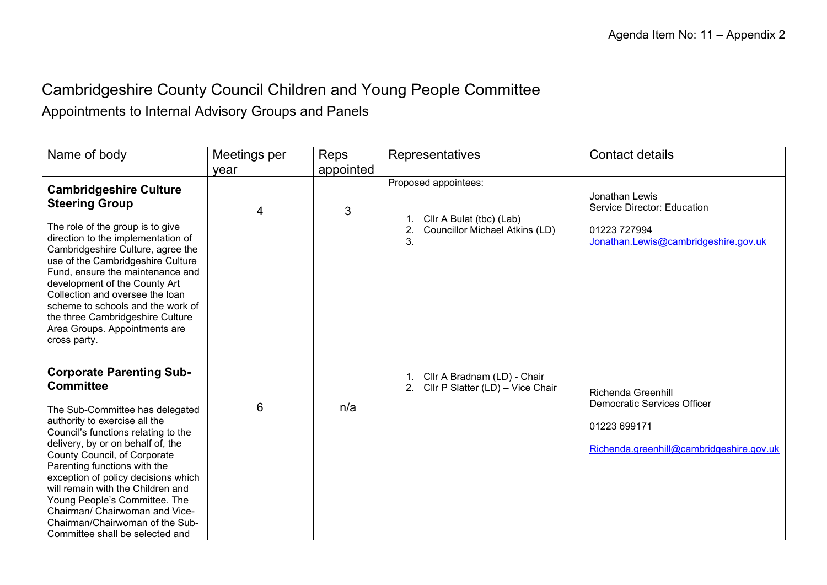## Cambridgeshire County Council Children and Young People Committee

Appointments to Internal Advisory Groups and Panels

| Name of body                                                                                                                                                                                                                                                                                                                                                                                                                                                                             | Meetings per | Reps      | Representatives                                                                                       | <b>Contact details</b>                                                                                               |
|------------------------------------------------------------------------------------------------------------------------------------------------------------------------------------------------------------------------------------------------------------------------------------------------------------------------------------------------------------------------------------------------------------------------------------------------------------------------------------------|--------------|-----------|-------------------------------------------------------------------------------------------------------|----------------------------------------------------------------------------------------------------------------------|
|                                                                                                                                                                                                                                                                                                                                                                                                                                                                                          | year         | appointed |                                                                                                       |                                                                                                                      |
| <b>Cambridgeshire Culture</b><br><b>Steering Group</b><br>The role of the group is to give<br>direction to the implementation of<br>Cambridgeshire Culture, agree the<br>use of the Cambridgeshire Culture<br>Fund, ensure the maintenance and<br>development of the County Art<br>Collection and oversee the loan<br>scheme to schools and the work of<br>the three Cambridgeshire Culture<br>Area Groups. Appointments are<br>cross party.                                             | 4            | 3         | Proposed appointees:<br>Cllr A Bulat (tbc) (Lab)<br>2.<br><b>Councillor Michael Atkins (LD)</b><br>3. | Jonathan Lewis<br>Service Director: Education<br>01223 727994<br>Jonathan.Lewis@cambridgeshire.gov.uk                |
| <b>Corporate Parenting Sub-</b><br><b>Committee</b><br>The Sub-Committee has delegated<br>authority to exercise all the<br>Council's functions relating to the<br>delivery, by or on behalf of, the<br>County Council, of Corporate<br>Parenting functions with the<br>exception of policy decisions which<br>will remain with the Children and<br>Young People's Committee. The<br>Chairman/ Chairwoman and Vice-<br>Chairman/Chairwoman of the Sub-<br>Committee shall be selected and | 6            | n/a       | Cllr A Bradnam (LD) - Chair<br>Cllr P Slatter (LD) - Vice Chair<br>2.                                 | Richenda Greenhill<br><b>Democratic Services Officer</b><br>01223 699171<br>Richenda.greenhill@cambridgeshire.gov.uk |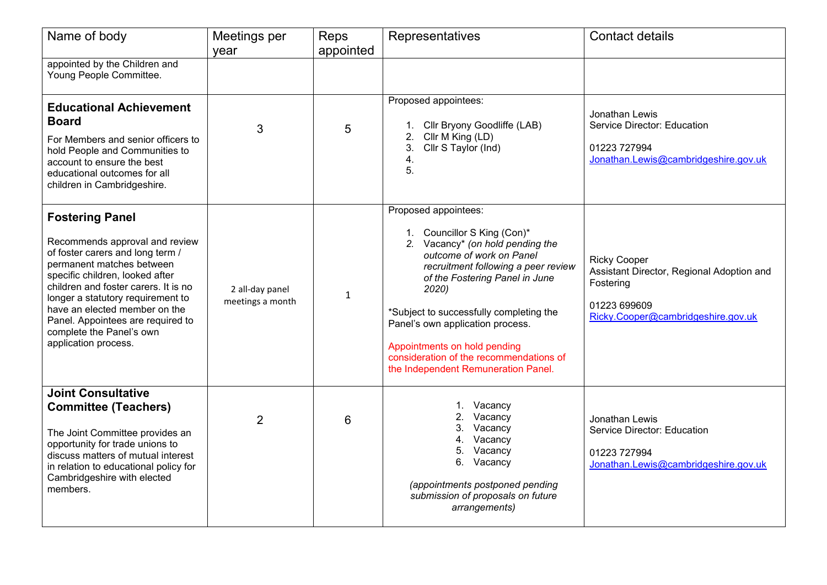| Name of body                                                                                                                                                                                                                                                                                                                                                        | Meetings per<br>year                | Reps<br>appointed | Representatives                                                                                                                                                                                                                                                                                                                                                                                        | <b>Contact details</b>                                                                                                              |
|---------------------------------------------------------------------------------------------------------------------------------------------------------------------------------------------------------------------------------------------------------------------------------------------------------------------------------------------------------------------|-------------------------------------|-------------------|--------------------------------------------------------------------------------------------------------------------------------------------------------------------------------------------------------------------------------------------------------------------------------------------------------------------------------------------------------------------------------------------------------|-------------------------------------------------------------------------------------------------------------------------------------|
| appointed by the Children and<br>Young People Committee.                                                                                                                                                                                                                                                                                                            |                                     |                   |                                                                                                                                                                                                                                                                                                                                                                                                        |                                                                                                                                     |
| <b>Educational Achievement</b><br><b>Board</b><br>For Members and senior officers to<br>hold People and Communities to<br>account to ensure the best<br>educational outcomes for all<br>children in Cambridgeshire.                                                                                                                                                 | 3                                   | 5                 | Proposed appointees:<br>Cllr Bryony Goodliffe (LAB)<br>Cllr M King (LD)<br>2.<br>3.<br>Cllr S Taylor (Ind)<br>4.<br>5.                                                                                                                                                                                                                                                                                 | Jonathan Lewis<br>Service Director: Education<br>01223 727994<br>Jonathan.Lewis@cambridgeshire.gov.uk                               |
| <b>Fostering Panel</b><br>Recommends approval and review<br>of foster carers and long term /<br>permanent matches between<br>specific children, looked after<br>children and foster carers. It is no<br>longer a statutory requirement to<br>have an elected member on the<br>Panel. Appointees are required to<br>complete the Panel's own<br>application process. | 2 all-day panel<br>meetings a month | $\mathbf{1}$      | Proposed appointees:<br>1. Councillor S King (Con)*<br>2. Vacancy* (on hold pending the<br>outcome of work on Panel<br>recruitment following a peer review<br>of the Fostering Panel in June<br>2020)<br>*Subject to successfully completing the<br>Panel's own application process.<br>Appointments on hold pending<br>consideration of the recommendations of<br>the Independent Remuneration Panel. | <b>Ricky Cooper</b><br>Assistant Director, Regional Adoption and<br>Fostering<br>01223 699609<br>Ricky.Cooper@cambridgeshire.gov.uk |
| <b>Joint Consultative</b><br><b>Committee (Teachers)</b><br>The Joint Committee provides an<br>opportunity for trade unions to<br>discuss matters of mutual interest<br>in relation to educational policy for<br>Cambridgeshire with elected<br>members.                                                                                                            | $\overline{2}$                      | 6                 | 1. Vacancy<br>Vacancy<br>3.<br>Vacancy<br>Vacancy<br>4.<br>5. Vacancy<br>6. Vacancy<br>(appointments postponed pending<br>submission of proposals on future<br>arrangements)                                                                                                                                                                                                                           | Jonathan Lewis<br>Service Director: Education<br>01223 727994<br>Jonathan.Lewis@cambridgeshire.gov.uk                               |